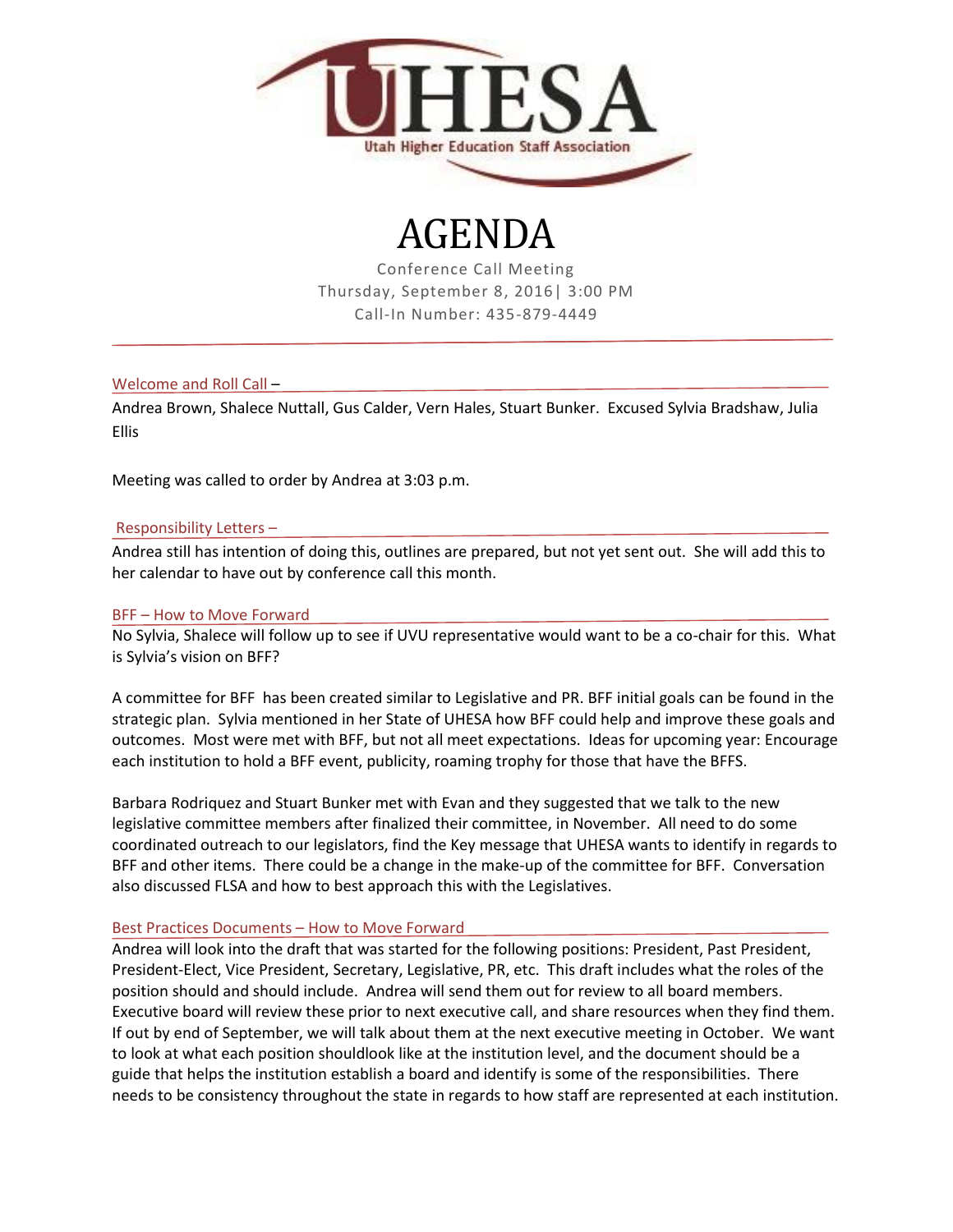

# AGENDA

Conference Call Meeting Thursday, September 8, 2016| 3:00 PM Call-In Number: 435-879-4449

Welcome and Roll Call –

Andrea Brown, Shalece Nuttall, Gus Calder, Vern Hales, Stuart Bunker. Excused Sylvia Bradshaw, Julia Ellis

Meeting was called to order by Andrea at 3:03 p.m.

## Responsibility Letters –

Andrea still has intention of doing this, outlines are prepared, but not yet sent out. She will add this to her calendar to have out by conference call this month.

### BFF – How to Move Forward

No Sylvia, Shalece will follow up to see if UVU representative would want to be a co-chair for this. What is Sylvia's vision on BFF?

A committee for BFF has been created similar to Legislative and PR. BFF initial goals can be found in the strategic plan. Sylvia mentioned in her State of UHESA how BFF could help and improve these goals and outcomes. Most were met with BFF, but not all meet expectations. Ideas for upcoming year: Encourage each institution to hold a BFF event, publicity, roaming trophy for those that have the BFFS.

Barbara Rodriquez and Stuart Bunker met with Evan and they suggested that we talk to the new legislative committee members after finalized their committee, in November. All need to do some coordinated outreach to our legislators, find the Key message that UHESA wants to identify in regards to BFF and other items. There could be a change in the make-up of the committee for BFF. Conversation also discussed FLSA and how to best approach this with the Legislatives.

#### Best Practices Documents – How to Move Forward

Andrea will look into the draft that was started for the following positions: President, Past President, President-Elect, Vice President, Secretary, Legislative, PR, etc. This draft includes what the roles of the position should and should include. Andrea will send them out for review to all board members. Executive board will review these prior to next executive call, and share resources when they find them. If out by end of September, we will talk about them at the next executive meeting in October. We want to look at what each position shouldlook like at the institution level, and the document should be a guide that helps the institution establish a board and identify is some of the responsibilities. There needs to be consistency throughout the state in regards to how staff are represented at each institution.